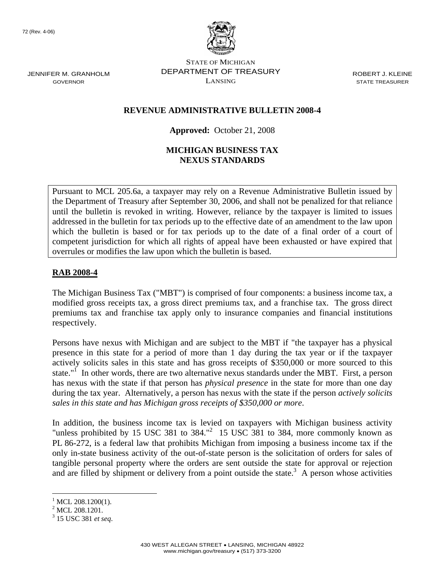JENNIFER M. GRANHOLM GOVERNOR



STATE OF MICHIGAN DEPARTMENT OF TREASURY LANSING

ROBERT J. KLEINE STATE TREASURER

#### **REVENUE ADMINISTRATIVE BULLETIN 2008-4**

#### **Approved:** October 21, 2008

#### **MICHIGAN BUSINESS TAX NEXUS STANDARDS**

Pursuant to MCL 205.6a, a taxpayer may rely on a Revenue Administrative Bulletin issued by the Department of Treasury after September 30, 2006, and shall not be penalized for that reliance until the bulletin is revoked in writing. However, reliance by the taxpayer is limited to issues addressed in the bulletin for tax periods up to the effective date of an amendment to the law upon which the bulletin is based or for tax periods up to the date of a final order of a court of competent jurisdiction for which all rights of appeal have been exhausted or have expired that overrules or modifies the law upon which the bulletin is based.

#### **RAB 2008-4**

The Michigan Business Tax ("MBT") is comprised of four components: a business income tax, a modified gross receipts tax, a gross direct premiums tax, and a franchise tax. The gross direct premiums tax and franchise tax apply only to insurance companies and financial institutions respectively.

Persons have nexus with Michigan and are subject to the MBT if "the taxpayer has a physical presence in this state for a period of more than 1 day during the tax year or if the taxpayer actively solicits sales in this state and has gross receipts of \$350,000 or more sourced to this state."<sup>I</sup> In other words, there are two alternative nexus standards under the MBT. First, a person has nexus with the state if that person has *physical presence* in the state for more than one day during the tax year. Alternatively, a person has nexus with the state if the person *actively solicits sales in this state and has Michigan gross receipts of \$350,000 or more*.

In addition, the business income tax is levied on taxpayers with Michigan business activity "unless prohibited by 15 USC 381 to 384."<sup>2</sup> 15 USC 381 to 384, more commonly known as PL 86-272, is a federal law that prohibits Michigan from imposing a business income tax if the only in-state business activity of the out-of-state person is the solicitation of orders for sales of tangible personal property where the orders are sent outside the state for approval or rejection and are filled by shipment or delivery from a point outside the state.<sup>3</sup> A person whose activities

 $<sup>1</sup>$  MCL 208.1200(1).</sup>

<sup>&</sup>lt;sup>2</sup> MCL 208.1201.

<sup>3</sup> 15 USC 381 *et seq*.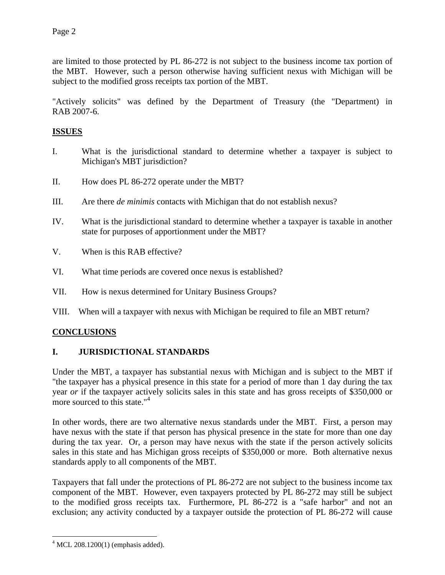are limited to those protected by PL 86-272 is not subject to the business income tax portion of the MBT. However, such a person otherwise having sufficient nexus with Michigan will be subject to the modified gross receipts tax portion of the MBT.

"Actively solicits" was defined by the Department of Treasury (the "Department) in RAB 2007-6.

## **ISSUES**

- I. What is the jurisdictional standard to determine whether a taxpayer is subject to Michigan's MBT jurisdiction?
- II. How does PL 86-272 operate under the MBT?
- III. Are there *de minimis* contacts with Michigan that do not establish nexus?
- IV. What is the jurisdictional standard to determine whether a taxpayer is taxable in another state for purposes of apportionment under the MBT?
- V. When is this RAB effective?
- VI. What time periods are covered once nexus is established?
- VII. How is nexus determined for Unitary Business Groups?
- VIII. When will a taxpayer with nexus with Michigan be required to file an MBT return?

## **CONCLUSIONS**

## **I. JURISDICTIONAL STANDARDS**

Under the MBT, a taxpayer has substantial nexus with Michigan and is subject to the MBT if "the taxpayer has a physical presence in this state for a period of more than 1 day during the tax year *or* if the taxpayer actively solicits sales in this state and has gross receipts of \$350,000 or more sourced to this state."<sup>4</sup>

In other words, there are two alternative nexus standards under the MBT. First, a person may have nexus with the state if that person has physical presence in the state for more than one day during the tax year. Or, a person may have nexus with the state if the person actively solicits sales in this state and has Michigan gross receipts of \$350,000 or more. Both alternative nexus standards apply to all components of the MBT.

Taxpayers that fall under the protections of PL 86-272 are not subject to the business income tax component of the MBT. However, even taxpayers protected by PL 86-272 may still be subject to the modified gross receipts tax. Furthermore, PL 86-272 is a "safe harbor" and not an exclusion; any activity conducted by a taxpayer outside the protection of PL 86-272 will cause

 $\overline{a}$  $4$  MCL 208.1200(1) (emphasis added).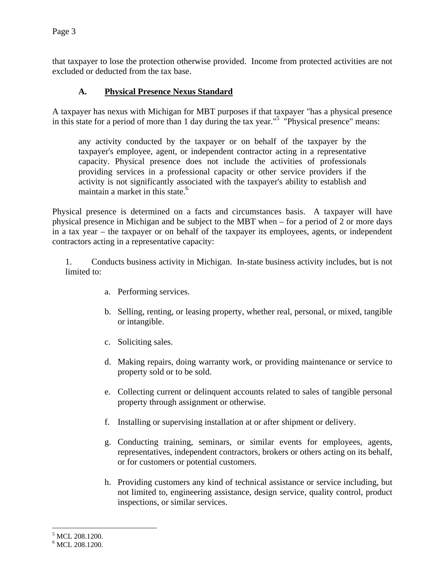that taxpayer to lose the protection otherwise provided. Income from protected activities are not excluded or deducted from the tax base.

### **A. Physical Presence Nexus Standard**

A taxpayer has nexus with Michigan for MBT purposes if that taxpayer "has a physical presence in this state for a period of more than 1 day during the tax year."5 "Physical presence" means:

any activity conducted by the taxpayer or on behalf of the taxpayer by the taxpayer's employee, agent, or independent contractor acting in a representative capacity. Physical presence does not include the activities of professionals providing services in a professional capacity or other service providers if the activity is not significantly associated with the taxpayer's ability to establish and maintain a market in this state.<sup>6</sup>

Physical presence is determined on a facts and circumstances basis. A taxpayer will have physical presence in Michigan and be subject to the MBT when – for a period of 2 or more days in a tax year – the taxpayer or on behalf of the taxpayer its employees, agents, or independent contractors acting in a representative capacity:

1. Conducts business activity in Michigan. In-state business activity includes, but is not limited to:

- a. Performing services.
- b. Selling, renting, or leasing property, whether real, personal, or mixed, tangible or intangible.
- c. Soliciting sales.
- d. Making repairs, doing warranty work, or providing maintenance or service to property sold or to be sold.
- e. Collecting current or delinquent accounts related to sales of tangible personal property through assignment or otherwise.
- f. Installing or supervising installation at or after shipment or delivery.
- g. Conducting training, seminars, or similar events for employees, agents, representatives, independent contractors, brokers or others acting on its behalf, or for customers or potential customers.
- h. Providing customers any kind of technical assistance or service including, but not limited to, engineering assistance, design service, quality control, product inspections, or similar services.

1

<sup>&</sup>lt;sup>5</sup> MCL 208.1200.

<sup>&</sup>lt;sup>6</sup> MCL 208.1200.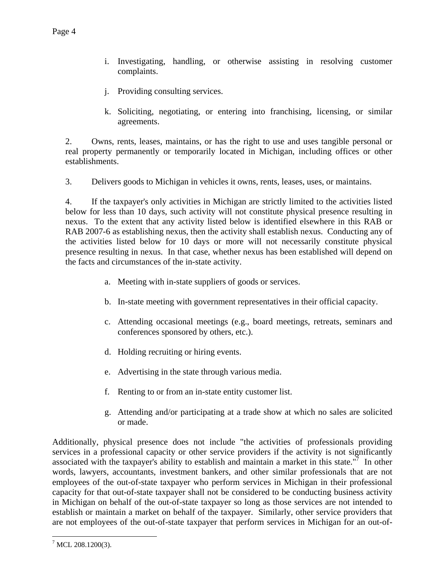- i. Investigating, handling, or otherwise assisting in resolving customer complaints.
- j. Providing consulting services.
- k. Soliciting, negotiating, or entering into franchising, licensing, or similar agreements.

2. Owns, rents, leases, maintains, or has the right to use and uses tangible personal or real property permanently or temporarily located in Michigan, including offices or other establishments.

3. Delivers goods to Michigan in vehicles it owns, rents, leases, uses, or maintains.

4. If the taxpayer's only activities in Michigan are strictly limited to the activities listed below for less than 10 days, such activity will not constitute physical presence resulting in nexus. To the extent that any activity listed below is identified elsewhere in this RAB or RAB 2007-6 as establishing nexus, then the activity shall establish nexus. Conducting any of the activities listed below for 10 days or more will not necessarily constitute physical presence resulting in nexus. In that case, whether nexus has been established will depend on the facts and circumstances of the in-state activity.

- a. Meeting with in-state suppliers of goods or services.
- b. In-state meeting with government representatives in their official capacity.
- c. Attending occasional meetings (e.g., board meetings, retreats, seminars and conferences sponsored by others, etc.).
- d. Holding recruiting or hiring events.
- e. Advertising in the state through various media.
- f. Renting to or from an in-state entity customer list.
- g. Attending and/or participating at a trade show at which no sales are solicited or made.

Additionally, physical presence does not include "the activities of professionals providing services in a professional capacity or other service providers if the activity is not significantly associated with the taxpayer's ability to establish and maintain a market in this state.<sup>"7</sup> In other words, lawyers, accountants, investment bankers, and other similar professionals that are not employees of the out-of-state taxpayer who perform services in Michigan in their professional capacity for that out-of-state taxpayer shall not be considered to be conducting business activity in Michigan on behalf of the out-of-state taxpayer so long as those services are not intended to establish or maintain a market on behalf of the taxpayer. Similarly, other service providers that are not employees of the out-of-state taxpayer that perform services in Michigan for an out-of-

<u>.</u>

 $^7$  MCL 208.1200(3).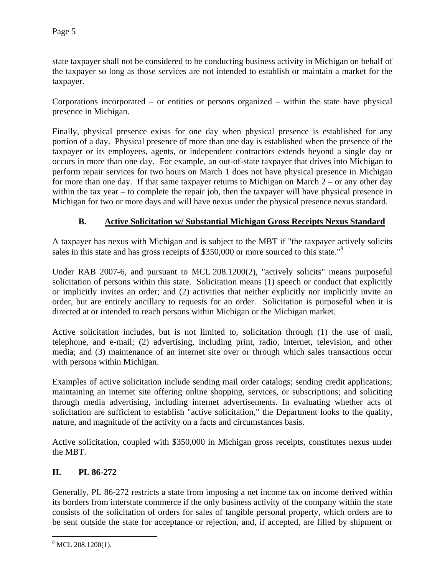state taxpayer shall not be considered to be conducting business activity in Michigan on behalf of the taxpayer so long as those services are not intended to establish or maintain a market for the taxpayer.

Corporations incorporated – or entities or persons organized – within the state have physical presence in Michigan.

Finally, physical presence exists for one day when physical presence is established for any portion of a day. Physical presence of more than one day is established when the presence of the taxpayer or its employees, agents, or independent contractors extends beyond a single day or occurs in more than one day. For example, an out-of-state taxpayer that drives into Michigan to perform repair services for two hours on March 1 does not have physical presence in Michigan for more than one day. If that same taxpayer returns to Michigan on March  $2 -$  or any other day within the tax year – to complete the repair job, then the taxpayer will have physical presence in Michigan for two or more days and will have nexus under the physical presence nexus standard.

### **B. Active Solicitation w/ Substantial Michigan Gross Receipts Nexus Standard**

A taxpayer has nexus with Michigan and is subject to the MBT if "the taxpayer actively solicits sales in this state and has gross receipts of \$350,000 or more sourced to this state."<sup>8</sup>

Under RAB 2007-6, and pursuant to MCL 208.1200(2), "actively solicits" means purposeful solicitation of persons within this state. Solicitation means (1) speech or conduct that explicitly or implicitly invites an order; and (2) activities that neither explicitly nor implicitly invite an order, but are entirely ancillary to requests for an order. Solicitation is purposeful when it is directed at or intended to reach persons within Michigan or the Michigan market.

Active solicitation includes, but is not limited to, solicitation through (1) the use of mail, telephone, and e-mail; (2) advertising, including print, radio, internet, television, and other media; and (3) maintenance of an internet site over or through which sales transactions occur with persons within Michigan.

Examples of active solicitation include sending mail order catalogs; sending credit applications; maintaining an internet site offering online shopping, services, or subscriptions; and soliciting through media advertising, including internet advertisements. In evaluating whether acts of solicitation are sufficient to establish "active solicitation," the Department looks to the quality, nature, and magnitude of the activity on a facts and circumstances basis.

Active solicitation, coupled with \$350,000 in Michigan gross receipts, constitutes nexus under the MBT.

#### **II. PL 86-272**

Generally, PL 86-272 restricts a state from imposing a net income tax on income derived within its borders from interstate commerce if the only business activity of the company within the state consists of the solicitation of orders for sales of tangible personal property, which orders are to be sent outside the state for acceptance or rejection, and, if accepted, are filled by shipment or

<sup>&</sup>lt;sup>8</sup> MCL 208.1200(1).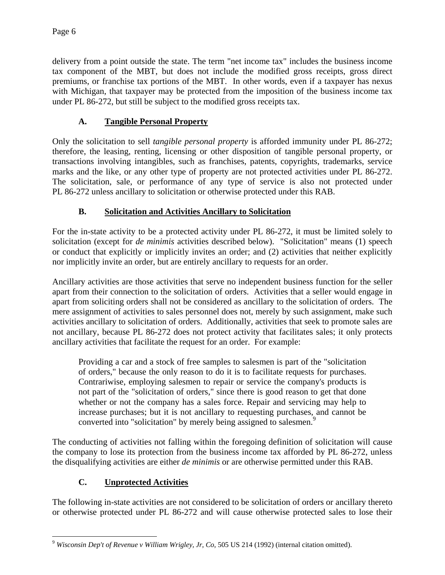delivery from a point outside the state. The term "net income tax" includes the business income tax component of the MBT, but does not include the modified gross receipts, gross direct premiums, or franchise tax portions of the MBT. In other words, even if a taxpayer has nexus with Michigan, that taxpayer may be protected from the imposition of the business income tax under PL 86-272, but still be subject to the modified gross receipts tax.

# **A. Tangible Personal Property**

Only the solicitation to sell *tangible personal property* is afforded immunity under PL 86-272; therefore, the leasing, renting, licensing or other disposition of tangible personal property, or transactions involving intangibles, such as franchises, patents, copyrights, trademarks, service marks and the like, or any other type of property are not protected activities under PL 86-272. The solicitation, sale, or performance of any type of service is also not protected under PL 86-272 unless ancillary to solicitation or otherwise protected under this RAB.

# **B. Solicitation and Activities Ancillary to Solicitation**

For the in-state activity to be a protected activity under PL 86-272, it must be limited solely to solicitation (except for *de minimis* activities described below). "Solicitation" means (1) speech or conduct that explicitly or implicitly invites an order; and (2) activities that neither explicitly nor implicitly invite an order, but are entirely ancillary to requests for an order.

Ancillary activities are those activities that serve no independent business function for the seller apart from their connection to the solicitation of orders. Activities that a seller would engage in apart from soliciting orders shall not be considered as ancillary to the solicitation of orders. The mere assignment of activities to sales personnel does not, merely by such assignment, make such activities ancillary to solicitation of orders. Additionally, activities that seek to promote sales are not ancillary, because PL 86-272 does not protect activity that facilitates sales; it only protects ancillary activities that facilitate the request for an order. For example:

Providing a car and a stock of free samples to salesmen is part of the "solicitation of orders," because the only reason to do it is to facilitate requests for purchases. Contrariwise, employing salesmen to repair or service the company's products is not part of the "solicitation of orders," since there is good reason to get that done whether or not the company has a sales force. Repair and servicing may help to increase purchases; but it is not ancillary to requesting purchases, and cannot be converted into "solicitation" by merely being assigned to salesmen.<sup>9</sup>

The conducting of activities not falling within the foregoing definition of solicitation will cause the company to lose its protection from the business income tax afforded by PL 86-272, unless the disqualifying activities are either *de minimis* or are otherwise permitted under this RAB.

## **C. Unprotected Activities**

The following in-state activities are not considered to be solicitation of orders or ancillary thereto or otherwise protected under PL 86-272 and will cause otherwise protected sales to lose their

 $\overline{a}$ <sup>9</sup> *Wisconsin Dep't of Revenue v William Wrigley, Jr, Co*, 505 US 214 (1992) (internal citation omitted).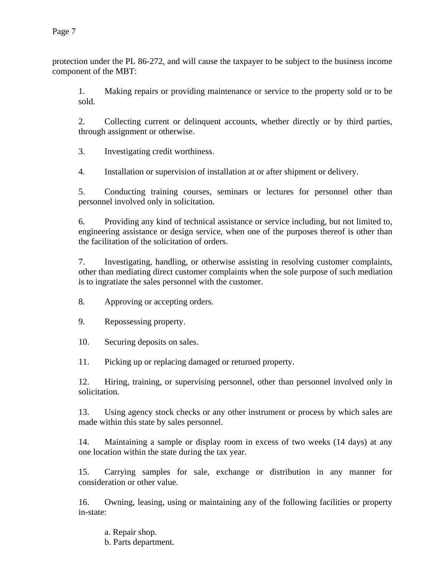protection under the PL 86-272, and will cause the taxpayer to be subject to the business income component of the MBT:

1. Making repairs or providing maintenance or service to the property sold or to be sold.

2. Collecting current or delinquent accounts, whether directly or by third parties, through assignment or otherwise.

3. Investigating credit worthiness.

4. Installation or supervision of installation at or after shipment or delivery.

5. Conducting training courses, seminars or lectures for personnel other than personnel involved only in solicitation.

6. Providing any kind of technical assistance or service including, but not limited to, engineering assistance or design service, when one of the purposes thereof is other than the facilitation of the solicitation of orders.

7. Investigating, handling, or otherwise assisting in resolving customer complaints, other than mediating direct customer complaints when the sole purpose of such mediation is to ingratiate the sales personnel with the customer.

8. Approving or accepting orders.

9. Repossessing property.

10. Securing deposits on sales.

11. Picking up or replacing damaged or returned property.

12. Hiring, training, or supervising personnel, other than personnel involved only in solicitation.

13. Using agency stock checks or any other instrument or process by which sales are made within this state by sales personnel.

14. Maintaining a sample or display room in excess of two weeks (14 days) at any one location within the state during the tax year.

15. Carrying samples for sale, exchange or distribution in any manner for consideration or other value.

16. Owning, leasing, using or maintaining any of the following facilities or property in-state:

a. Repair shop.

b. Parts department.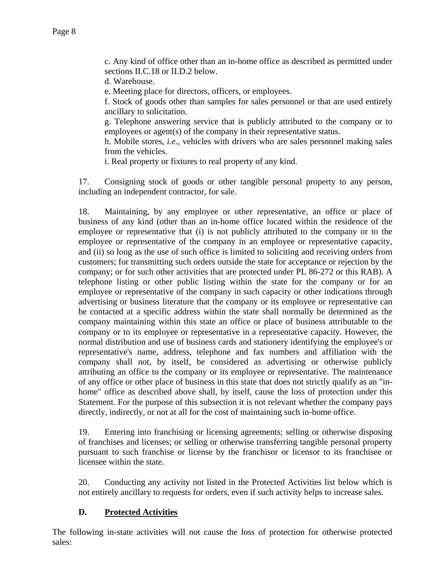c. Any kind of office other than an in-home office as described as permitted under sections II.C.18 or II.D.2 below.

d. Warehouse.

e. Meeting place for directors, officers, or employees.

f. Stock of goods other than samples for sales personnel or that are used entirely ancillary to solicitation.

g. Telephone answering service that is publicly attributed to the company or to employees or agent(s) of the company in their representative status.

h. Mobile stores, *i.e.*, vehicles with drivers who are sales personnel making sales from the vehicles.

i. Real property or fixtures to real property of any kind.

17. Consigning stock of goods or other tangible personal property to any person, including an independent contractor, for sale.

18. Maintaining, by any employee or other representative, an office or place of business of any kind (other than an in-home office located within the residence of the employee or representative that (i) is not publicly attributed to the company or to the employee or representative of the company in an employee or representative capacity, and (ii) so long as the use of such office is limited to soliciting and receiving orders from customers; for transmitting such orders outside the state for acceptance or rejection by the company; or for such other activities that are protected under PL 86-272 or this RAB). A telephone listing or other public listing within the state for the company or for an employee or representative of the company in such capacity or other indications through advertising or business literature that the company or its employee or representative can be contacted at a specific address within the state shall normally be determined as the company maintaining within this state an office or place of business attributable to the company or to its employee or representative in a representative capacity. However, the normal distribution and use of business cards and stationery identifying the employee's or representative's name, address, telephone and fax numbers and affiliation with the company shall not, by itself, be considered as advertising or otherwise publicly attributing an office to the company or its employee or representative. The maintenance of any office or other place of business in this state that does not strictly qualify as an "inhome" office as described above shall, by itself, cause the loss of protection under this Statement. For the purpose of this subsection it is not relevant whether the company pays directly, indirectly, or not at all for the cost of maintaining such in-home office.

19. Entering into franchising or licensing agreements; selling or otherwise disposing of franchises and licenses; or selling or otherwise transferring tangible personal property pursuant to such franchise or license by the franchisor or licensor to its franchisee or licensee within the state.

20. Conducting any activity not listed in the Protected Activities list below which is not entirely ancillary to requests for orders, even if such activity helps to increase sales.

#### **D. Protected Activities**

The following in-state activities will not cause the loss of protection for otherwise protected sales: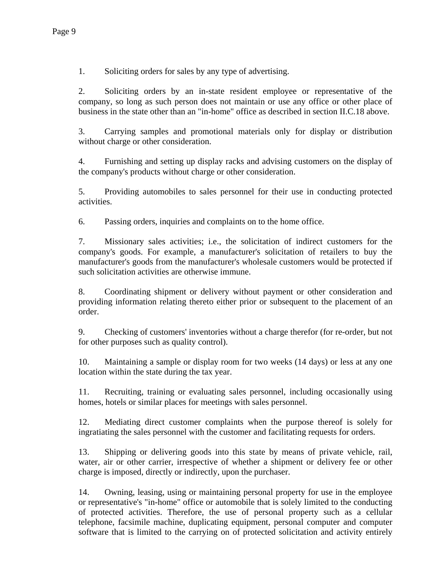1. Soliciting orders for sales by any type of advertising.

2. Soliciting orders by an in-state resident employee or representative of the company, so long as such person does not maintain or use any office or other place of business in the state other than an "in-home" office as described in section II.C.18 above.

3. Carrying samples and promotional materials only for display or distribution without charge or other consideration.

4. Furnishing and setting up display racks and advising customers on the display of the company's products without charge or other consideration.

5. Providing automobiles to sales personnel for their use in conducting protected activities.

6. Passing orders, inquiries and complaints on to the home office.

7. Missionary sales activities; i.e., the solicitation of indirect customers for the company's goods. For example, a manufacturer's solicitation of retailers to buy the manufacturer's goods from the manufacturer's wholesale customers would be protected if such solicitation activities are otherwise immune.

8. Coordinating shipment or delivery without payment or other consideration and providing information relating thereto either prior or subsequent to the placement of an order.

9. Checking of customers' inventories without a charge therefor (for re-order, but not for other purposes such as quality control).

10. Maintaining a sample or display room for two weeks (14 days) or less at any one location within the state during the tax year.

11. Recruiting, training or evaluating sales personnel, including occasionally using homes, hotels or similar places for meetings with sales personnel.

12. Mediating direct customer complaints when the purpose thereof is solely for ingratiating the sales personnel with the customer and facilitating requests for orders.

13. Shipping or delivering goods into this state by means of private vehicle, rail, water, air or other carrier, irrespective of whether a shipment or delivery fee or other charge is imposed, directly or indirectly, upon the purchaser.

14. Owning, leasing, using or maintaining personal property for use in the employee or representative's "in-home" office or automobile that is solely limited to the conducting of protected activities. Therefore, the use of personal property such as a cellular telephone, facsimile machine, duplicating equipment, personal computer and computer software that is limited to the carrying on of protected solicitation and activity entirely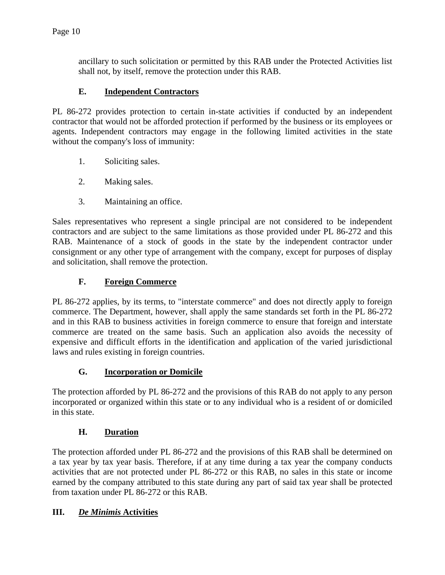ancillary to such solicitation or permitted by this RAB under the Protected Activities list shall not, by itself, remove the protection under this RAB.

## **E. Independent Contractors**

PL 86-272 provides protection to certain in-state activities if conducted by an independent contractor that would not be afforded protection if performed by the business or its employees or agents. Independent contractors may engage in the following limited activities in the state without the company's loss of immunity:

- 1. Soliciting sales.
- 2. Making sales.
- 3. Maintaining an office.

Sales representatives who represent a single principal are not considered to be independent contractors and are subject to the same limitations as those provided under PL 86-272 and this RAB. Maintenance of a stock of goods in the state by the independent contractor under consignment or any other type of arrangement with the company, except for purposes of display and solicitation, shall remove the protection.

## **F. Foreign Commerce**

PL 86-272 applies, by its terms, to "interstate commerce" and does not directly apply to foreign commerce. The Department, however, shall apply the same standards set forth in the PL 86-272 and in this RAB to business activities in foreign commerce to ensure that foreign and interstate commerce are treated on the same basis. Such an application also avoids the necessity of expensive and difficult efforts in the identification and application of the varied jurisdictional laws and rules existing in foreign countries.

## **G. Incorporation or Domicile**

The protection afforded by PL 86-272 and the provisions of this RAB do not apply to any person incorporated or organized within this state or to any individual who is a resident of or domiciled in this state.

## **H. Duration**

The protection afforded under PL 86-272 and the provisions of this RAB shall be determined on a tax year by tax year basis. Therefore, if at any time during a tax year the company conducts activities that are not protected under PL 86-272 or this RAB, no sales in this state or income earned by the company attributed to this state during any part of said tax year shall be protected from taxation under PL 86-272 or this RAB.

#### **III.** *De Minimis* **Activities**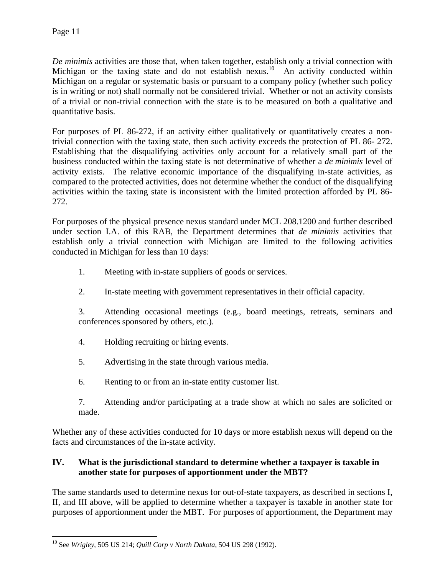*De minimis* activities are those that, when taken together, establish only a trivial connection with Michigan or the taxing state and do not establish nexus.<sup>10</sup> An activity conducted within Michigan on a regular or systematic basis or pursuant to a company policy (whether such policy is in writing or not) shall normally not be considered trivial. Whether or not an activity consists of a trivial or non-trivial connection with the state is to be measured on both a qualitative and quantitative basis.

For purposes of PL 86-272, if an activity either qualitatively or quantitatively creates a nontrivial connection with the taxing state, then such activity exceeds the protection of PL 86- 272. Establishing that the disqualifying activities only account for a relatively small part of the business conducted within the taxing state is not determinative of whether a *de minimis* level of activity exists. The relative economic importance of the disqualifying in-state activities, as compared to the protected activities, does not determine whether the conduct of the disqualifying activities within the taxing state is inconsistent with the limited protection afforded by PL 86- 272.

For purposes of the physical presence nexus standard under MCL 208.1200 and further described under section I.A. of this RAB, the Department determines that *de minimis* activities that establish only a trivial connection with Michigan are limited to the following activities conducted in Michigan for less than 10 days:

- 1. Meeting with in-state suppliers of goods or services.
- 2. In-state meeting with government representatives in their official capacity.

3. Attending occasional meetings (e.g., board meetings, retreats, seminars and conferences sponsored by others, etc.).

- 4. Holding recruiting or hiring events.
- 5. Advertising in the state through various media.
- 6. Renting to or from an in-state entity customer list.
- 7. Attending and/or participating at a trade show at which no sales are solicited or made.

Whether any of these activities conducted for 10 days or more establish nexus will depend on the facts and circumstances of the in-state activity.

## **IV. What is the jurisdictional standard to determine whether a taxpayer is taxable in another state for purposes of apportionment under the MBT?**

The same standards used to determine nexus for out-of-state taxpayers, as described in sections I, II, and III above, will be applied to determine whether a taxpayer is taxable in another state for purposes of apportionment under the MBT. For purposes of apportionment, the Department may

 $\overline{a}$ 10 See *Wrigley*, 505 US 214; *Quill Corp v North Dakota*, 504 US 298 (1992).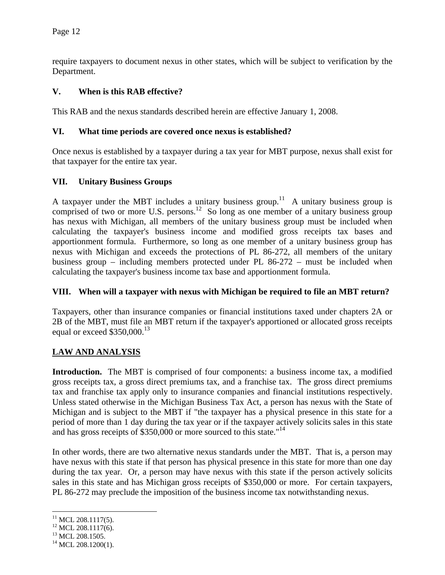require taxpayers to document nexus in other states, which will be subject to verification by the Department.

### **V. When is this RAB effective?**

This RAB and the nexus standards described herein are effective January 1, 2008.

#### **VI. What time periods are covered once nexus is established?**

Once nexus is established by a taxpayer during a tax year for MBT purpose, nexus shall exist for that taxpayer for the entire tax year.

#### **VII. Unitary Business Groups**

A taxpayer under the MBT includes a unitary business group.<sup>11</sup> A unitary business group is comprised of two or more U.S. persons.<sup>12</sup> So long as one member of a unitary business group has nexus with Michigan, all members of the unitary business group must be included when calculating the taxpayer's business income and modified gross receipts tax bases and apportionment formula. Furthermore, so long as one member of a unitary business group has nexus with Michigan and exceeds the protections of PL 86-272, all members of the unitary business group – including members protected under PL 86-272 – must be included when calculating the taxpayer's business income tax base and apportionment formula.

#### **VIII. When will a taxpayer with nexus with Michigan be required to file an MBT return?**

Taxpayers, other than insurance companies or financial institutions taxed under chapters 2A or 2B of the MBT, must file an MBT return if the taxpayer's apportioned or allocated gross receipts equal or exceed \$350,000.<sup>13</sup>

#### **LAW AND ANALYSIS**

**Introduction.** The MBT is comprised of four components: a business income tax, a modified gross receipts tax, a gross direct premiums tax, and a franchise tax. The gross direct premiums tax and franchise tax apply only to insurance companies and financial institutions respectively. Unless stated otherwise in the Michigan Business Tax Act, a person has nexus with the State of Michigan and is subject to the MBT if "the taxpayer has a physical presence in this state for a period of more than 1 day during the tax year or if the taxpayer actively solicits sales in this state and has gross receipts of \$350,000 or more sourced to this state."14

In other words, there are two alternative nexus standards under the MBT. That is, a person may have nexus with this state if that person has physical presence in this state for more than one day during the tax year. Or, a person may have nexus with this state if the person actively solicits sales in this state and has Michigan gross receipts of \$350,000 or more. For certain taxpayers, PL 86-272 may preclude the imposition of the business income tax notwithstanding nexus.

<sup>&</sup>lt;u>.</u>  $11$  MCL 208.1117(5).

<sup>&</sup>lt;sup>12</sup> MCL 208.1117(6).

<sup>&</sup>lt;sup>13</sup> MCL 208.1505.

 $14$  MCL 208.1200(1).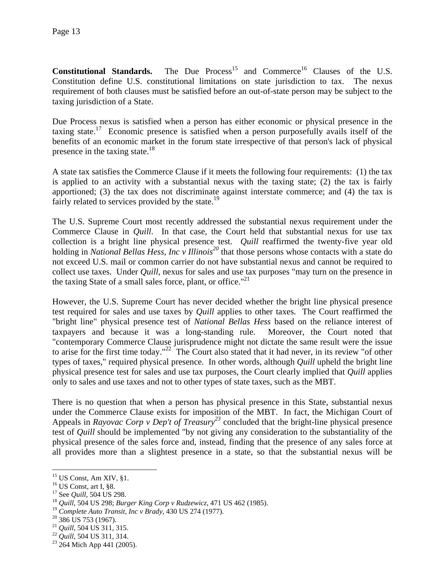**Constitutional Standards.** The Due Process<sup>15</sup> and Commerce<sup>16</sup> Clauses of the U.S. Constitution define U.S. constitutional limitations on state jurisdiction to tax. The nexus requirement of both clauses must be satisfied before an out-of-state person may be subject to the taxing jurisdiction of a State.

Due Process nexus is satisfied when a person has either economic or physical presence in the taxing state.<sup>17</sup> Economic presence is satisfied when a person purposefully avails itself of the benefits of an economic market in the forum state irrespective of that person's lack of physical presence in the taxing state. $18$ 

A state tax satisfies the Commerce Clause if it meets the following four requirements: (1) the tax is applied to an activity with a substantial nexus with the taxing state; (2) the tax is fairly apportioned; (3) the tax does not discriminate against interstate commerce; and (4) the tax is fairly related to services provided by the state.<sup>19</sup>

The U.S. Supreme Court most recently addressed the substantial nexus requirement under the Commerce Clause in *Quill*. In that case, the Court held that substantial nexus for use tax collection is a bright line physical presence test. *Quill* reaffirmed the twenty-five year old holding in *National Bellas Hess, Inc v Illinois*<sup>20</sup> that those persons whose contacts with a state do not exceed U.S. mail or common carrier do not have substantial nexus and cannot be required to collect use taxes. Under *Quill*, nexus for sales and use tax purposes "may turn on the presence in the taxing State of a small sales force, plant, or office. $121$ 

However, the U.S. Supreme Court has never decided whether the bright line physical presence test required for sales and use taxes by *Quill* applies to other taxes. The Court reaffirmed the "bright line" physical presence test of *National Bellas Hess* based on the reliance interest of taxpayers and because it was a long-standing rule. Moreover, the Court noted that "contemporary Commerce Clause jurisprudence might not dictate the same result were the issue to arise for the first time today."<sup>22</sup> The Court also stated that it had never, in its review "of other types of taxes," required physical presence. In other words, although *Quill* upheld the bright line physical presence test for sales and use tax purposes, the Court clearly implied that *Quill* applies only to sales and use taxes and not to other types of state taxes, such as the MBT.

There is no question that when a person has physical presence in this State, substantial nexus under the Commerce Clause exists for imposition of the MBT. In fact, the Michigan Court of Appeals in *Rayovac Corp v Dep't of Treasury*<sup>23</sup> concluded that the bright-line physical presence test of *Quill* should be implemented "by not giving any consideration to the substantiality of the physical presence of the sales force and, instead, finding that the presence of any sales force at all provides more than a slightest presence in a state, so that the substantial nexus will be

 $15$  US Const, Am XIV,  $\S1$ .

<sup>&</sup>lt;sup>16</sup> US Const, art I, §8.<br><sup>17</sup> See *Quill*, 504 US 298.

<sup>&</sup>lt;sup>18</sup> Quill, 504 US 298; *Burger King Corp v Rudzewicz*, 471 US 462 (1985).

<sup>&</sup>lt;sup>19</sup> Complete Auto Transit, Inc v Brady, 430 US 274 (1977).<br><sup>20</sup> 386 US 753 (1967).<br><sup>21</sup> Quill, 504 US 311, 315.

<sup>&</sup>lt;sup>22</sup> *Quill*, 504 US 311, 314.<br><sup>23</sup> 264 Mich App 441 (2005).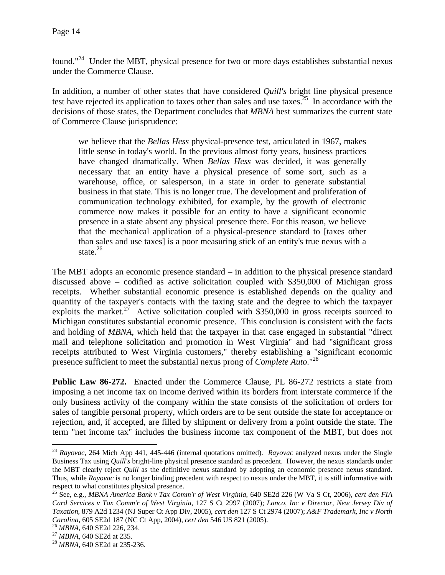found."24 Under the MBT, physical presence for two or more days establishes substantial nexus under the Commerce Clause.

In addition, a number of other states that have considered *Quill's* bright line physical presence test have rejected its application to taxes other than sales and use taxes.<sup>25</sup> In accordance with the decisions of those states, the Department concludes that *MBNA* best summarizes the current state of Commerce Clause jurisprudence:

we believe that the *Bellas Hess* physical-presence test, articulated in 1967, makes little sense in today's world. In the previous almost forty years, business practices have changed dramatically. When *Bellas Hess* was decided, it was generally necessary that an entity have a physical presence of some sort, such as a warehouse, office, or salesperson, in a state in order to generate substantial business in that state. This is no longer true. The development and proliferation of communication technology exhibited, for example, by the growth of electronic commerce now makes it possible for an entity to have a significant economic presence in a state absent any physical presence there. For this reason, we believe that the mechanical application of a physical-presence standard to [taxes other than sales and use taxes] is a poor measuring stick of an entity's true nexus with a state. $^{26}$ 

The MBT adopts an economic presence standard – in addition to the physical presence standard discussed above – codified as active solicitation coupled with \$350,000 of Michigan gross receipts. Whether substantial economic presence is established depends on the quality and quantity of the taxpayer's contacts with the taxing state and the degree to which the taxpayer exploits the market.<sup>27</sup> Active solicitation coupled with \$350,000 in gross receipts sourced to Michigan constitutes substantial economic presence. This conclusion is consistent with the facts and holding of *MBNA*, which held that the taxpayer in that case engaged in substantial "direct mail and telephone solicitation and promotion in West Virginia" and had "significant gross receipts attributed to West Virginia customers," thereby establishing a "significant economic presence sufficient to meet the substantial nexus prong of *Complete Auto*."28

**Public Law 86-272.** Enacted under the Commerce Clause, PL 86-272 restricts a state from imposing a net income tax on income derived within its borders from interstate commerce if the only business activity of the company within the state consists of the solicitation of orders for sales of tangible personal property, which orders are to be sent outside the state for acceptance or rejection, and, if accepted, are filled by shipment or delivery from a point outside the state. The term "net income tax" includes the business income tax component of the MBT, but does not

<sup>24</sup> *Rayovac*, 264 Mich App 441, 445-446 (internal quotations omitted). *Rayovac* analyzed nexus under the Single Business Tax using *Quill's* bright-line physical presence standard as precedent. However, the nexus standards under the MBT clearly reject *Quill* as the definitive nexus standard by adopting an economic presence nexus standard. Thus, while *Rayovac* is no longer binding precedent with respect to nexus under the MBT, it is still informative with respect to what constitutes physical presence.

<sup>25</sup> See, e.g., *MBNA America Bank v Tax Comm'r of West Virginia*, 640 SE2d 226 (W Va S Ct, 2006), *cert den FIA Card Services v Tax Comm'r of West Virginia*, 127 S Ct 2997 (2007); *Lanco, Inc v Director, New Jersey Div of Taxation*, 879 A2d 1234 (NJ Super Ct App Div, 2005), *cert den* 127 S Ct 2974 (2007); *A&F Trademark, Inc v North Carolina*, 605 SE2d 187 (NC Ct App, 2004), *cert den* 546 US 821 (2005).<br><sup>26</sup> *MBNA*, 640 SE2d 226, 234.<br><sup>27</sup> *MBNA*, 640 SE2d at 235.<br><sup>28</sup> *MBNA*, 640 SE2d at 235-236.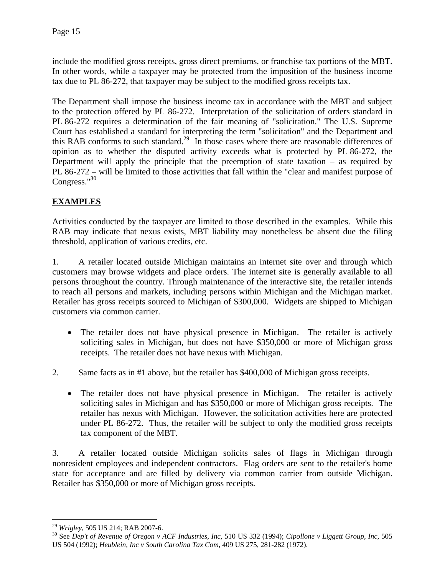include the modified gross receipts, gross direct premiums, or franchise tax portions of the MBT. In other words, while a taxpayer may be protected from the imposition of the business income tax due to PL 86-272, that taxpayer may be subject to the modified gross receipts tax.

The Department shall impose the business income tax in accordance with the MBT and subject to the protection offered by PL 86-272. Interpretation of the solicitation of orders standard in PL 86-272 requires a determination of the fair meaning of "solicitation." The U.S. Supreme Court has established a standard for interpreting the term "solicitation" and the Department and this RAB conforms to such standard.<sup>29</sup> In those cases where there are reasonable differences of opinion as to whether the disputed activity exceeds what is protected by PL 86-272, the Department will apply the principle that the preemption of state taxation – as required by PL 86-272 – will be limited to those activities that fall within the "clear and manifest purpose of Congress."<sup>30</sup>

# **EXAMPLES**

Activities conducted by the taxpayer are limited to those described in the examples. While this RAB may indicate that nexus exists, MBT liability may nonetheless be absent due the filing threshold, application of various credits, etc.

1. A retailer located outside Michigan maintains an internet site over and through which customers may browse widgets and place orders. The internet site is generally available to all persons throughout the country. Through maintenance of the interactive site, the retailer intends to reach all persons and markets, including persons within Michigan and the Michigan market. Retailer has gross receipts sourced to Michigan of \$300,000. Widgets are shipped to Michigan customers via common carrier.

- The retailer does not have physical presence in Michigan. The retailer is actively soliciting sales in Michigan, but does not have \$350,000 or more of Michigan gross receipts. The retailer does not have nexus with Michigan.
- 2. Same facts as in #1 above, but the retailer has \$400,000 of Michigan gross receipts.
	- The retailer does not have physical presence in Michigan. The retailer is actively soliciting sales in Michigan and has \$350,000 or more of Michigan gross receipts. The retailer has nexus with Michigan. However, the solicitation activities here are protected under PL 86-272. Thus, the retailer will be subject to only the modified gross receipts tax component of the MBT.

3. A retailer located outside Michigan solicits sales of flags in Michigan through nonresident employees and independent contractors. Flag orders are sent to the retailer's home state for acceptance and are filled by delivery via common carrier from outside Michigan. Retailer has \$350,000 or more of Michigan gross receipts.

<sup>1</sup> 

<sup>&</sup>lt;sup>29</sup> *Wrigley*, 505 US 214; RAB 2007-6.<br><sup>30</sup> See Dep't of Revenue of Oregon v ACF Industries, Inc, 510 US 332 (1994); *Cipollone v Liggett Group, Inc*, 505 US 504 (1992); *Heublein, Inc v South Carolina Tax Com,* 409 US 275, 281-282 (1972).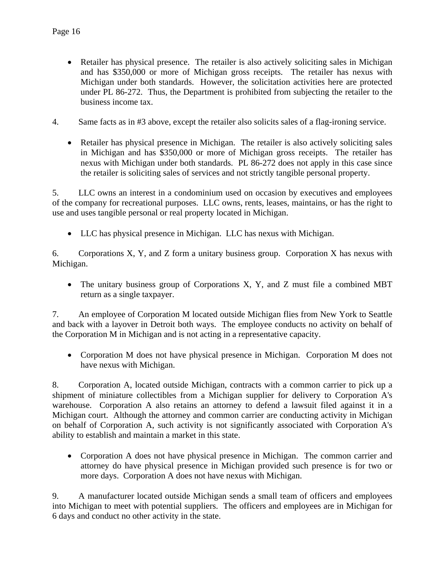- Retailer has physical presence. The retailer is also actively soliciting sales in Michigan and has \$350,000 or more of Michigan gross receipts. The retailer has nexus with Michigan under both standards. However, the solicitation activities here are protected under PL 86-272. Thus, the Department is prohibited from subjecting the retailer to the business income tax.
- 4. Same facts as in #3 above, except the retailer also solicits sales of a flag-ironing service.
	- Retailer has physical presence in Michigan. The retailer is also actively soliciting sales in Michigan and has \$350,000 or more of Michigan gross receipts. The retailer has nexus with Michigan under both standards. PL 86-272 does not apply in this case since the retailer is soliciting sales of services and not strictly tangible personal property.

5. LLC owns an interest in a condominium used on occasion by executives and employees of the company for recreational purposes. LLC owns, rents, leases, maintains, or has the right to use and uses tangible personal or real property located in Michigan.

• LLC has physical presence in Michigan. LLC has nexus with Michigan.

6. Corporations X, Y, and Z form a unitary business group. Corporation X has nexus with Michigan.

• The unitary business group of Corporations X, Y, and Z must file a combined MBT return as a single taxpayer.

7. An employee of Corporation M located outside Michigan flies from New York to Seattle and back with a layover in Detroit both ways. The employee conducts no activity on behalf of the Corporation M in Michigan and is not acting in a representative capacity.

• Corporation M does not have physical presence in Michigan. Corporation M does not have nexus with Michigan.

8. Corporation A, located outside Michigan, contracts with a common carrier to pick up a shipment of miniature collectibles from a Michigan supplier for delivery to Corporation A's warehouse. Corporation A also retains an attorney to defend a lawsuit filed against it in a Michigan court. Although the attorney and common carrier are conducting activity in Michigan on behalf of Corporation A, such activity is not significantly associated with Corporation A's ability to establish and maintain a market in this state.

• Corporation A does not have physical presence in Michigan. The common carrier and attorney do have physical presence in Michigan provided such presence is for two or more days. Corporation A does not have nexus with Michigan.

9. A manufacturer located outside Michigan sends a small team of officers and employees into Michigan to meet with potential suppliers. The officers and employees are in Michigan for 6 days and conduct no other activity in the state.